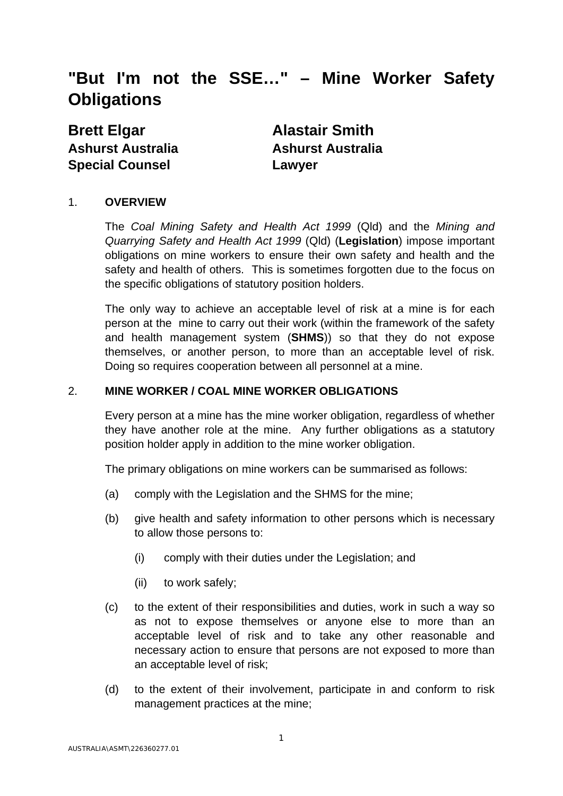# **"But I'm not the SSE…" – Mine Worker Safety Obligations**

**Brett Elgar Alastair Smith Ashurst Australia Ashurst Australia Special Counsel Lawyer** 

### 1. **OVERVIEW**

The *Coal Mining Safety and Health Act 1999* (Qld) and the *Mining and Quarrying Safety and Health Act 1999* (Qld) (**Legislation**) impose important obligations on mine workers to ensure their own safety and health and the safety and health of others. This is sometimes forgotten due to the focus on the specific obligations of statutory position holders.

The only way to achieve an acceptable level of risk at a mine is for each person at the mine to carry out their work (within the framework of the safety and health management system (**SHMS**)) so that they do not expose themselves, or another person, to more than an acceptable level of risk. Doing so requires cooperation between all personnel at a mine.

#### 2. **MINE WORKER / COAL MINE WORKER OBLIGATIONS**

Every person at a mine has the mine worker obligation, regardless of whether they have another role at the mine. Any further obligations as a statutory position holder apply in addition to the mine worker obligation.

The primary obligations on mine workers can be summarised as follows:

- (a) comply with the Legislation and the SHMS for the mine;
- (b) give health and safety information to other persons which is necessary to allow those persons to:
	- (i) comply with their duties under the Legislation; and
	- (ii) to work safely;
- (c) to the extent of their responsibilities and duties, work in such a way so as not to expose themselves or anyone else to more than an acceptable level of risk and to take any other reasonable and necessary action to ensure that persons are not exposed to more than an acceptable level of risk;
- (d) to the extent of their involvement, participate in and conform to risk management practices at the mine;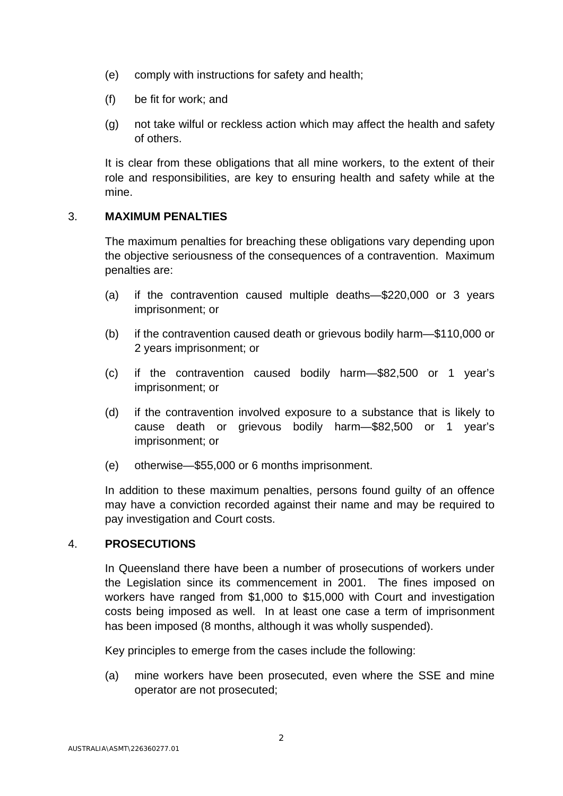- (e) comply with instructions for safety and health;
- (f) be fit for work; and
- (g) not take wilful or reckless action which may affect the health and safety of others.

It is clear from these obligations that all mine workers, to the extent of their role and responsibilities, are key to ensuring health and safety while at the mine.

# 3. **MAXIMUM PENALTIES**

The maximum penalties for breaching these obligations vary depending upon the objective seriousness of the consequences of a contravention. Maximum penalties are:

- (a) if the contravention caused multiple deaths—\$220,000 or 3 years imprisonment; or
- (b) if the contravention caused death or grievous bodily harm—\$110,000 or 2 years imprisonment; or
- (c) if the contravention caused bodily harm—\$82,500 or 1 year's imprisonment; or
- (d) if the contravention involved exposure to a substance that is likely to cause death or grievous bodily harm—\$82,500 or 1 year's imprisonment; or
- (e) otherwise—\$55,000 or 6 months imprisonment.

In addition to these maximum penalties, persons found guilty of an offence may have a conviction recorded against their name and may be required to pay investigation and Court costs.

## 4. **PROSECUTIONS**

In Queensland there have been a number of prosecutions of workers under the Legislation since its commencement in 2001. The fines imposed on workers have ranged from \$1,000 to \$15,000 with Court and investigation costs being imposed as well. In at least one case a term of imprisonment has been imposed (8 months, although it was wholly suspended).

Key principles to emerge from the cases include the following:

(a) mine workers have been prosecuted, even where the SSE and mine operator are not prosecuted;